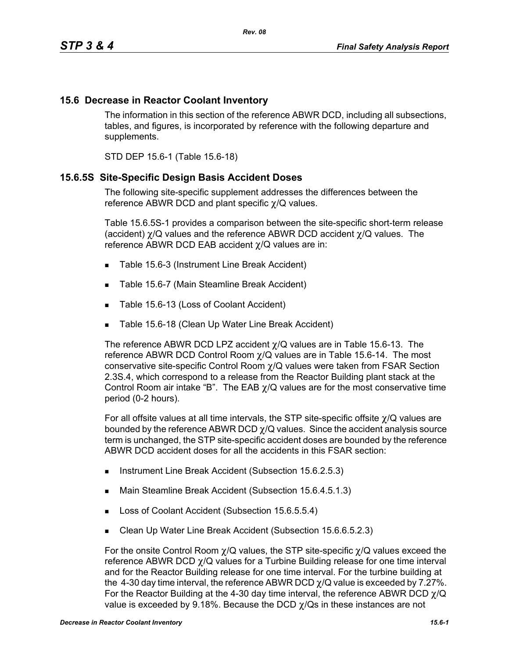### **15.6 Decrease in Reactor Coolant Inventory**

The information in this section of the reference ABWR DCD, including all subsections, tables, and figures, is incorporated by reference with the following departure and supplements.

STD DEP 15.6-1 (Table 15.6-18)

#### **15.6.5S Site-Specific Design Basis Accident Doses**

The following site-specific supplement addresses the differences between the reference ABWR DCD and plant specific χ/Q values.

Table 15.6.5S-1 provides a comparison between the site-specific short-term release (accident) χ/Q values and the reference ABWR DCD accident χ/Q values. The reference ABWR DCD EAB accident χ/Q values are in:

- Table 15.6-3 (Instrument Line Break Accident)
- Table 15.6-7 (Main Steamline Break Accident)
- Table 15.6-13 (Loss of Coolant Accident)
- **Table 15.6-18 (Clean Up Water Line Break Accident)**

The reference ABWR DCD LPZ accident χ/Q values are in Table 15.6-13. The reference ABWR DCD Control Room  $\chi$ /Q values are in Table 15.6-14. The most conservative site-specific Control Room χ/Q values were taken from FSAR Section 2.3S.4, which correspond to a release from the Reactor Building plant stack at the Control Room air intake "B". The EAB  $\chi$ /Q values are for the most conservative time period (0-2 hours).

For all offsite values at all time intervals, the STP site-specific offsite χ/Q values are bounded by the reference ABWR DCD  $\chi$ /Q values. Since the accident analysis source term is unchanged, the STP site-specific accident doses are bounded by the reference ABWR DCD accident doses for all the accidents in this FSAR section:

- **Instrument Line Break Accident (Subsection 15.6.2.5.3)**
- Main Steamline Break Accident (Subsection 15.6.4.5.1.3)
- Loss of Coolant Accident (Subsection 15.6.5.5.4)
- Clean Up Water Line Break Accident (Subsection 15.6.6.5.2.3)

For the onsite Control Room  $\chi$ /Q values, the STP site-specific  $\chi$ /Q values exceed the reference ABWR DCD χ/Q values for a Turbine Building release for one time interval and for the Reactor Building release for one time interval. For the turbine building at the 4-30 day time interval, the reference ABWR DCD  $\chi$ /Q value is exceeded by 7.27%. For the Reactor Building at the 4-30 day time interval, the reference ABWR DCD  $\gamma$ /Q value is exceeded by 9.18%. Because the DCD  $\gamma$ /Qs in these instances are not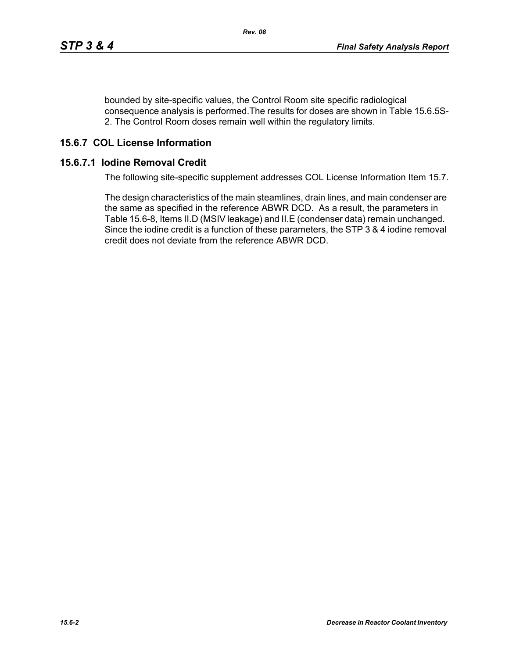bounded by site-specific values, the Control Room site specific radiological consequence analysis is performed.The results for doses are shown in Table 15.6.5S-2. The Control Room doses remain well within the regulatory limits.

# **15.6.7 COL License Information**

#### **15.6.7.1 Iodine Removal Credit**

The following site-specific supplement addresses COL License Information Item 15.7.

The design characteristics of the main steamlines, drain lines, and main condenser are the same as specified in the reference ABWR DCD. As a result, the parameters in Table 15.6-8, Items II.D (MSIV leakage) and II.E (condenser data) remain unchanged. Since the iodine credit is a function of these parameters, the STP 3 & 4 iodine removal credit does not deviate from the reference ABWR DCD.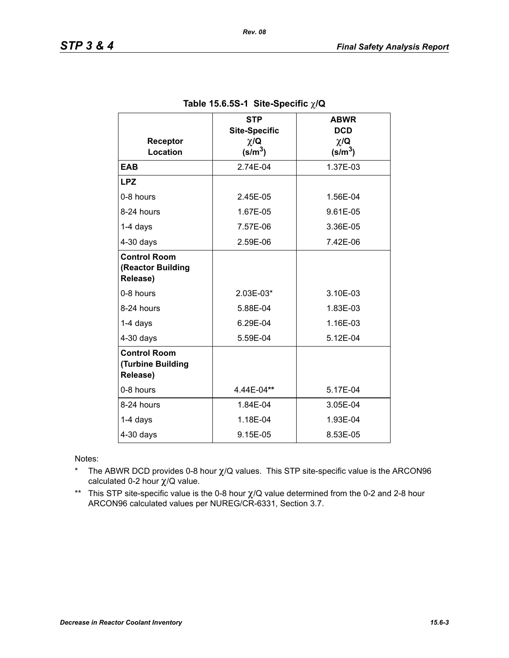| Receptor<br>Location                                 | <b>STP</b><br><b>Site-Specific</b><br>$\chi/\mathbf{Q}$<br>$(s/m^3)$ | <b>ABWR</b><br><b>DCD</b><br>$\chi/\mathbf{Q}$<br>(s/m <sup>3</sup> ) |  |
|------------------------------------------------------|----------------------------------------------------------------------|-----------------------------------------------------------------------|--|
| <b>EAB</b>                                           | 2.74E-04                                                             | 1.37E-03                                                              |  |
| <b>LPZ</b>                                           |                                                                      |                                                                       |  |
| 0-8 hours                                            | 2.45E-05                                                             | 1.56E-04                                                              |  |
| 8-24 hours                                           | 1.67E-05                                                             | 9.61E-05                                                              |  |
| $1-4$ days                                           | 7.57E-06                                                             | 3.36E-05                                                              |  |
| $4-30$ days                                          | 2.59E-06                                                             | 7.42E-06                                                              |  |
| <b>Control Room</b><br>(Reactor Building<br>Release) |                                                                      |                                                                       |  |
| 0-8 hours                                            | 2.03E-03*                                                            | 3.10E-03                                                              |  |
| 8-24 hours                                           | 5.88E-04                                                             | 1.83E-03                                                              |  |
| 1-4 days                                             | 6.29E-04                                                             | 1.16E-03                                                              |  |
| $4-30$ days                                          | 5.59E-04                                                             | 5.12E-04                                                              |  |
| <b>Control Room</b><br>(Turbine Building<br>Release) |                                                                      |                                                                       |  |
| 0-8 hours                                            | 4.44E-04**                                                           | 5.17E-04                                                              |  |
| 8-24 hours                                           | 1.84E-04                                                             | 3.05E-04                                                              |  |
| $1-4$ days                                           | 1.18E-04                                                             | 1.93E-04                                                              |  |
| $4-30$ days                                          | 9.15E-05                                                             | 8.53E-05                                                              |  |

### **Table 15.6.5S-1 Site-Specific** χ**/Q**

Notes:

- \* The ABWR DCD provides 0-8 hour  $\chi$ /Q values. This STP site-specific value is the ARCON96 calculated 0-2 hour χ/Q value.
- \*\* This STP site-specific value is the 0-8 hour χ/Q value determined from the 0-2 and 2-8 hour ARCON96 calculated values per NUREG/CR-6331, Section 3.7.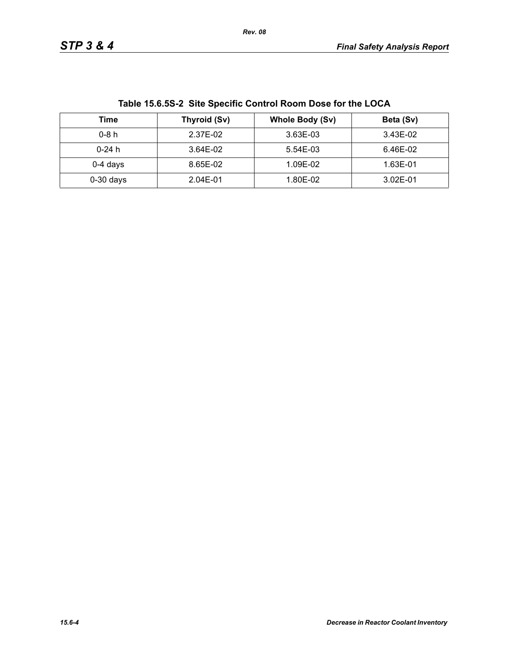| Table 15.6.55-2 Site Specific Control Room Dose for the LOCA |              |                 |           |  |
|--------------------------------------------------------------|--------------|-----------------|-----------|--|
| Time                                                         | Thyroid (Sv) | Whole Body (Sv) | Beta (Sv) |  |
| $0-8h$                                                       | 2.37E-02     | 3.63E-03        | 3.43E-02  |  |
| $0-24$ h                                                     | 3.64E-02     | 5.54E-03        | 6.46E-02  |  |
| $0-4$ days                                                   | 8.65E-02     | 1.09E-02        | 1.63E-01  |  |
| $0-30$ days                                                  | 2.04E-01     | 1.80E-02        | 3.02E-01  |  |

**Table 15.6.5S-2 Site Specific Control Room Dose for the LOCA**